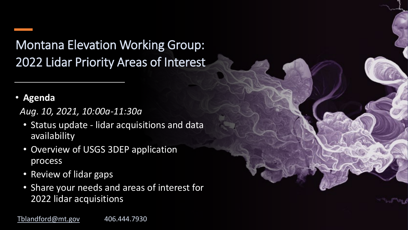Montana Elevation Working Group: 2022 Lidar Priority Areas of Interest

### • **Agenda**

*Aug. 10, 2021, 10:00a-11:30a*

- Status update lidar acquisitions and data availability
- Overview of USGS 3DEP application process
- Review of lidar gaps
- Share your needs and areas of interest for 2022 lidar acquisitions

[Tblandford@mt.gov](mailto:Tblandford@mt.gov) 406.444.7930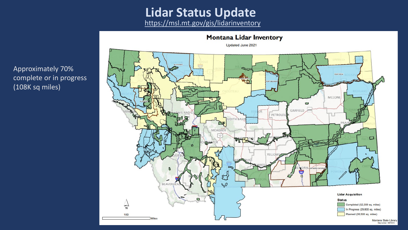## **Lidar Status Update**

<https://msl.mt.gov/gis/lidarinventory>



Approximately 70% complete or in progress (108K sq miles)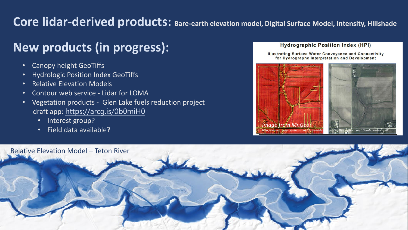### Core lidar-derived products: Bare-earth elevation model, Digital Surface Model, Intensity, Hillshade

### **New products (in progress):**

- Canopy height GeoTiffs
- Hydrologic Position Index GeoTiffs
- Relative Elevation Models
- Contour web service Lidar for LOMA
- Vegetation products Glen Lake fuels reduction project draft app: <https://arcg.is/0b0miH0>
	- Interest group?
	- Field data available?

#### **Hydrographic Position Index (HPI)**

**Illustrating Surface Water Conveyance and Connectivity** for Hydrography Interpretation and Development



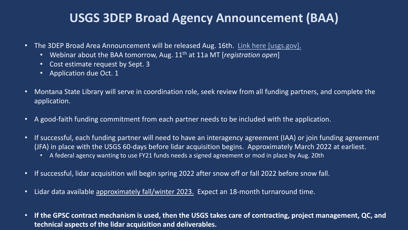### **USGS 3DEP Broad Agency Announcement (BAA)**

- The 3DEP Broad Area Announcement will be released Aug. 16th. [Link here \[usgs.gov\].](https://www.usgs.gov/core-science-systems/ngp/3dep/broad-agency-announcement-portal?qt-science_support_page_related_con=0#qt-science_support_page_related_con)
	- Webinar about the BAA tomorrow, Aug. 11<sup>th</sup> at 11a MT [*registration open*]
	- Cost estimate request by Sept. 3
	- Application due Oct. 1
- Montana State Library will serve in coordination role, seek review from all funding partners, and complete the application.
- A good-faith funding commitment from each partner needs to be included with the application.
- If successful, each funding partner will need to have an interagency agreement (IAA) or join funding agreement (JFA) in place with the USGS 60-days before lidar acquisition begins. Approximately March 2022 at earliest.
	- A federal agency wanting to use FY21 funds needs a signed agreement or mod in place by Aug. 20th
- If successful, lidar acquisition will begin spring 2022 after snow off or fall 2022 before snow fall.
- Lidar data available approximately fall/winter 2023. Expect an 18-month turnaround time.
- **If the GPSC contract mechanism is used, then the USGS takes care of contracting, project management, QC, and technical aspects of the lidar acquisition and deliverables.**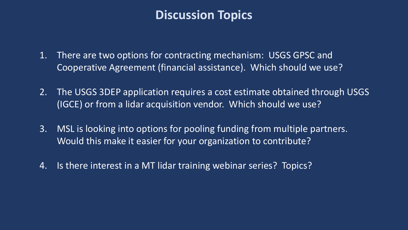### **Discussion Topics**

- 1. There are two options for contracting mechanism: USGS GPSC and Cooperative Agreement (financial assistance). Which should we use?
- 2. The USGS 3DEP application requires a cost estimate obtained through USGS (IGCE) or from a lidar acquisition vendor. Which should we use?
- 3. MSL is looking into options for pooling funding from multiple partners. Would this make it easier for your organization to contribute?
- 4. Is there interest in a MT lidar training webinar series? Topics?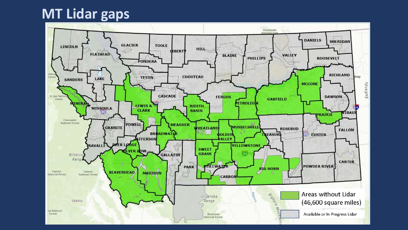## MT Lidar gaps

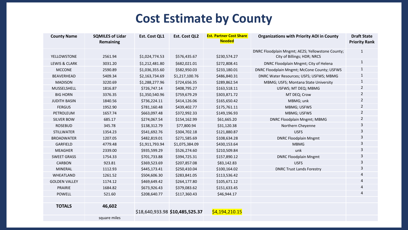### **Cost Estimate by County**

| <b>County Name</b>       | <b>SQMILES of Lidar</b><br>Remaining | Est. Cost QL1  | <b>Est. Cost QL2</b>            | <b>Est. Partner Cost Share</b><br><b>Needed</b> | <b>Organizations with Priority AOI in County</b>                                | <b>Draft State</b><br><b>Priority Rank</b> |
|--------------------------|--------------------------------------|----------------|---------------------------------|-------------------------------------------------|---------------------------------------------------------------------------------|--------------------------------------------|
| YELLOWSTONE              | 2561.94                              | \$1,024,774.53 | \$576,435.67                    | \$230,574.27                                    | DNRC Floodplain Mngmt; AE2S; Yellowstone County;<br>City of Billings; HDR; NRCS | $\mathbf{1}$                               |
| <b>LEWIS &amp; CLARK</b> | 3031.20                              | \$1,212,481.80 | \$682,021.01                    | \$272,808.41                                    | DNRC Floodplain Mngmt; City of Helena                                           | $\mathbf{1}$                               |
| <b>MCCONE</b>            | 2590.89                              | \$1,036,355.60 | \$582,950.03                    | \$233,180.01                                    | DNRC Floodplain Mngmt; McCone County; USFWS                                     | $\mathbf{1}$                               |
| <b>BEAVERHEAD</b>        | 5409.34                              | \$2,163,734.69 | \$1,217,100.76                  | \$486,840.31                                    | DNRC Water Resources; USFS; USFWS; MBMG                                         | $\mathbf{1}$                               |
| <b>MADISON</b>           | 3220.69                              | \$1,288,277.96 | \$724,656.35                    | \$289,862.54                                    | MBMG; USFS; Montana State University                                            | 1                                          |
| MUSSELSHELL              | 1816.87                              | \$726,747.14   | \$408,795.27                    | \$163,518.11                                    | USFWS; MT DEQ; MBMG                                                             | $\overline{2}$                             |
| <b>BIG HORN</b>          | 3376.35                              | \$1,350,540.96 | \$759,679.29                    | \$303,871.72                                    | MT DEQ; Crow                                                                    | $\overline{2}$                             |
| <b>JUDITH BASIN</b>      | 1840.56                              | \$736,224.11   | \$414,126.06                    | \$165,650.42                                    | MBMG; unk                                                                       | $\overline{2}$                             |
| <b>FERGUS</b>            | 1952.90                              | \$781,160.48   | \$439,402.77                    | \$175,761.11                                    | MBMG; USFWS                                                                     | $\overline{2}$                             |
| PETROLEUM                | 1657.74                              | \$663,097.48   | \$372,992.33                    | \$149,196.93                                    | MBMG; USFWS                                                                     | $\overline{2}$                             |
| <b>SILVER BOW</b>        | 685.17                               | \$274,067.54   | \$154,162.99                    | \$61,665.20                                     | <b>DNRC Floodplain Mngmt; MBMG</b>                                              | $\overline{2}$                             |
| <b>ROSEBUD</b>           | 345.78                               | \$138,312.79   | \$77,800.94                     | \$31,120.38                                     | Northern Cheyenne                                                               | 3                                          |
| STILLWATER               | 1354.23                              | \$541,692.76   | \$304,702.18                    | \$121,880.87                                    | <b>USFS</b>                                                                     | 3                                          |
| <b>BROADWATER</b>        | 1207.05                              | \$482,819.01   | \$271,585.69                    | \$108,634.28                                    | <b>DNRC Floodplain Mngmt</b>                                                    | 3                                          |
| GARFIELD                 | 4779.48                              | \$1,911,793.94 | \$1,075,384.09                  | \$430,153.64                                    | <b>MBMG</b>                                                                     | 3                                          |
| <b>MEAGHER</b>           | 2339.00                              | \$935,599.29   | \$526,274.60                    | \$210,509.84                                    | unk                                                                             | 3                                          |
| <b>SWEET GRASS</b>       | 1754.33                              | \$701,733.88   | \$394,725.31                    | \$157,890.12                                    | <b>DNRC Floodplain Mngmt</b>                                                    | 3                                          |
| <b>CARBON</b>            | 923.81                               | \$369,523.69   | \$207,857.08                    | \$83,142.83                                     | <b>USFS</b>                                                                     | 3                                          |
| <b>MINERAL</b>           | 1112.93                              | \$445,173.41   | \$250,410.04                    | \$100,164.02                                    | <b>DNRC Trust Lands Forestry</b>                                                | 3                                          |
| WHEATLAND                | 1261.52                              | \$504,606.30   | \$283,841.05                    | \$113,536.42                                    |                                                                                 | 4                                          |
| <b>GOLDEN VALLEY</b>     | 1174.12                              | \$469,649.42   | \$264,177.80                    | \$105,671.12                                    |                                                                                 | 4                                          |
| PRAIRIE                  | 1684.82                              | \$673,926.43   | \$379,083.62                    | \$151,633.45                                    |                                                                                 | 4                                          |
| <b>POWELL</b>            | 521.60                               | \$208,640.77   | \$117,360.43                    | \$46,944.17                                     |                                                                                 | 4                                          |
|                          |                                      |                |                                 |                                                 |                                                                                 |                                            |
| <b>TOTALS</b>            | 46,602                               |                | \$18,640,933.98 \$10,485,525.37 | \$4,194,210.15                                  |                                                                                 |                                            |
|                          | square miles                         |                |                                 |                                                 |                                                                                 |                                            |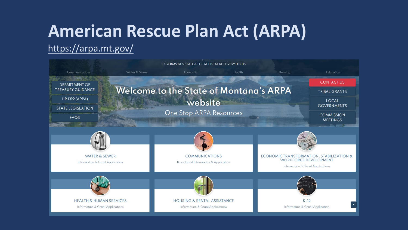# **American Rescue Plan Act (ARPA)**

### <https://arpa.mt.gov/>

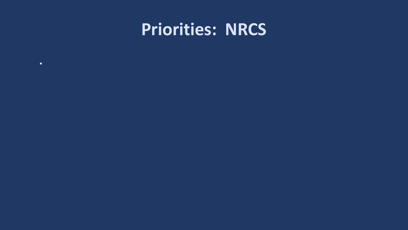# Priorities: NRCS

 $\bullet$ 

- 
- 
- -
	- -
	- -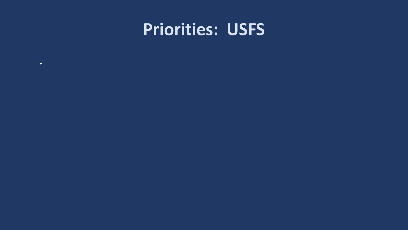# Priorities: USFS

 $\bullet$ 

- 
- 
- 
- 
- 
-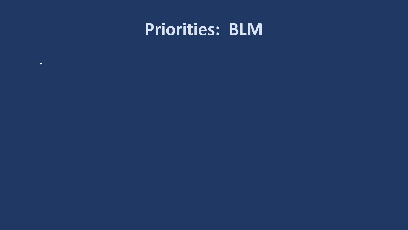# **Priorities: BLM**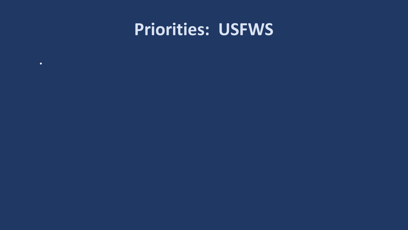# **Priorities: USFWS**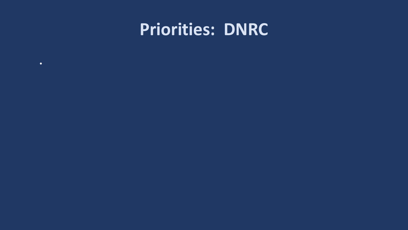# **Priorities: DNRC**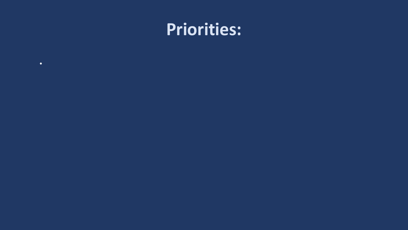# **Priorities:**